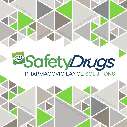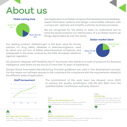# About us



Max Application is an Italian company that develops Oracle databasebased information systems and design customizable software, with a unique aim: optimize and simplify customer business processes.

We are recognized for the ability to listen, to understand and to solve the issues posed by our interlocutors. It is an Italian style to do things, appreciated all over the world.

# *Italian market share Italian market share*

Our leading product, SafetyDrugs**®**, is the best value-for-money solution for drug safety database in pharmacovigilance, used by about one out four of Italian pharmaceutical companies, and widespread in the areas covered by the EMA (European Medicine Agency) regulation.



All solutions integrate with flexibility the IT structures, also thanks to a suite of products for Business Intelligence, area where we are proud of more than 10 years of experience.

Gamp5 (Good Automated Manufacturing Process) guidelines are used in the development process. For this reason our software assures to the customers the compliance with the requirements related to the different areas of application.





The commitment of the work team has allowed, since 2007, to achieve the quality certification UNI EN ISO 9001 from the qualified Italian certification authority Italcert.

## **Pharma, the new business unit**

Max Application decides to create a business unit dedicated to the pharmaceutical fiel.

*2007*

*2007*

## **Quality certification: ISO 9001**

UNI EN ISO 9001 certification of the system Design, Development, Start-up, Maintenance and Support is acquired.

### *2008* **SafetyDrugs**

It is released the first version of SafetyDrugs, the software specific for the pharmacovigilance management.

## **Max Application foundation**

*2003*

Founding of Max Application Ltd. with offices in Biella and Turin (Piedmont, Italy).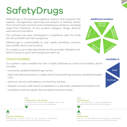# **SafetyDrugs**

SafetyDrugs is the pharmacovigilance solution that supports the capture, management, reporting and analysis of adverse events from clinical trials and from post marketing surveillance, including cases from literature, of any product category: drugs, devices, vaccines and cosmetics.

The software has been developed in compliance with the ICSR ICH R3 and EMA and FDA exceptions.

SafetyDrugs is customizable to user needs (workflow, controls, user profile, menus and screens).

It is ready to use in few days thanks to the provided Validation Kit, which ensures a quick and inexpensive start-up.

# *Cloud modality*

Our system is also available for rent in SaaS (Software as a Service) modality, which includes:

- constantly updated SafetyDrugs version
- high level data protection in a data centre Oracle with top security standards located in EU
- antivirus, service redundancy, connectivity, backup
- disaster recovery with stand-by database in a secondary datacentre located in EU
- compliance with European General Data Protection Rules.

*2013* **Collaboration with Asgenia** A collaboration starts with Asgenia, the newly born services company of Assogenerici.

*Additional modules*



# SaaS Purchase

*Available in*

**SafetyDrugs 6**

*2016*

The development of new SafetyDrugs compliant with ICH E2B (R3) rules begins.

# *2016*

## **Market share**

The 23% of the Italian pharmaceutical companies manages pharmacovigilance with SafetyDrugs.

# **Business Intelligence**

*2011*

SafetyDrugs enriches itself by the business intelligence module which includes the Signal Detection analysis.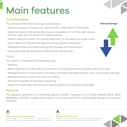# Main features

# *Functionalities*

The software offers the following functionalities:

- Import and export of electronic reports both in XML and HL7 file format
- Selective Import, that allows the massive acquisition of HL7 files with relative preview mask prior to import for triage purposes
- SMART data entry mask, for a quick data entry of the case on a single mask
- Action Items, to help the management of any activity scheduled
- Transparent data encryption during both storage and transmission
- Interaction with Windows tools (Word, Excel, Acrobat, etc.)

# *Tools*

The system is fitted with the following tools:

- Gateway
- Report generator, to allow the customization of reports based on templates set by the user
- Message System, to send alerts, reminders and email with attachments, with customizable settings
- Backward and Forward Conversion tool (BFC)
- WHO and MedDRA dictionaries supporting
- Search for Duplicates, that allows to launch parametric search for duplicates

# *Reports*

The database generates the following reports: CIOMS, Pregnancy form, PSUR, PBRER, DSUR, SMQ, MedWatch, MEDDEV, Quality check report, Cover report and other customizable listings for inspective purposes.

## *2017* **Approaching newest technologies**

First release of a Management and Business-to-Business solution, multi-language and fully web-based.

# *Data exchange*



*2018*

**Release of SafetyDrugs 6** Release of the new version of the pharmacovigilance software designed to comply with the ICH E2B (R3)

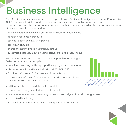# Business Intelligence

Max Application has designed and developed its own Business Intelligence software. Powered by Qlik®, it supplies flexible tools for queries and data analysis, through a set of dashboard. Every user can create his own query and data analysis models, according to his own needs, using simple and easy-to-understand tools.

The main characteristics of SafetyDrugs' Business Intelligence are:

- adverse event data warehouse
- easy navigation and intuitive graphic
- drill-down analysis
- charts enabled to provide additional details
- customized data visualization using dashboards and graphic tools

With the Business Intelligence module it is possible to run Signal Detection analysis, that supplies:

- the evidence of drugs with disproportionally high statistical scores
- disproportionality statistical indicators (PRR, ROR, RR)
- Confidence Interval, CHI square and P-value tests
- the evidence of cases from Literature and the number of cases Unlisted, Unexpected, Fatal and Serious.

Additional analysis are available in the module:

- comparison among selected temporal interval
- quantitative analysis with possibility of qualitative analysis of detail on single case
- customized line listing
- KPI analysis, to monitor the cases management performances.